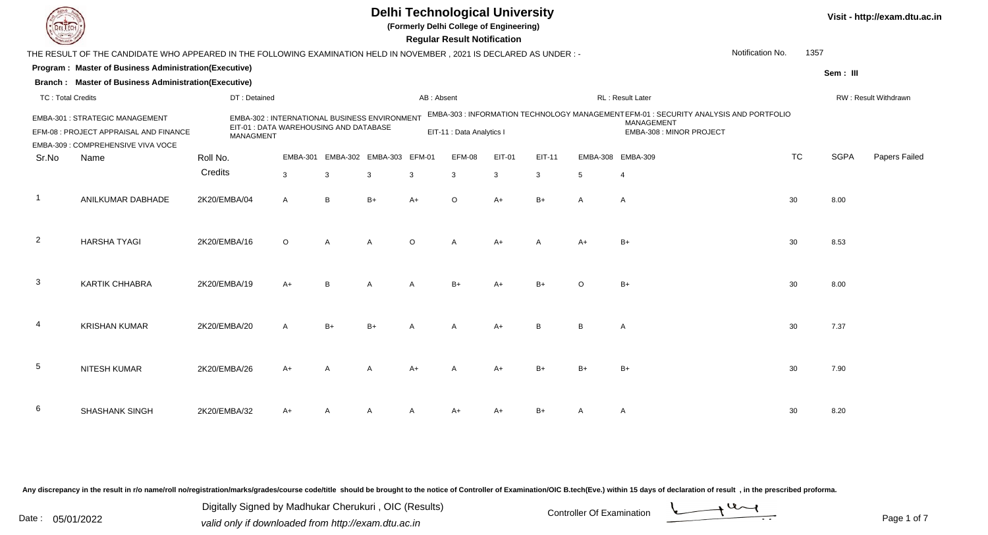|                                                                                                                                                    | <b>Delhi Technological University</b><br>(Formerly Delhi College of Engineering)<br><b>Regular Result Notification</b> |                                                                                                             |                 |                |                   |            |                           |        |                |                |                                                                                                                                |  |           |             | Visit - http://exam.dtu.ac.in |
|----------------------------------------------------------------------------------------------------------------------------------------------------|------------------------------------------------------------------------------------------------------------------------|-------------------------------------------------------------------------------------------------------------|-----------------|----------------|-------------------|------------|---------------------------|--------|----------------|----------------|--------------------------------------------------------------------------------------------------------------------------------|--|-----------|-------------|-------------------------------|
| Notification No.<br>1357<br>THE RESULT OF THE CANDIDATE WHO APPEARED IN THE FOLLOWING EXAMINATION HELD IN NOVEMBER , 2021 IS DECLARED AS UNDER : - |                                                                                                                        |                                                                                                             |                 |                |                   |            |                           |        |                |                |                                                                                                                                |  |           |             |                               |
|                                                                                                                                                    | Program : Master of Business Administration(Executive)                                                                 |                                                                                                             |                 |                |                   |            |                           |        |                |                |                                                                                                                                |  |           | Sem: III    |                               |
|                                                                                                                                                    | Branch: Master of Business Administration(Executive)                                                                   |                                                                                                             |                 |                |                   |            |                           |        |                |                |                                                                                                                                |  |           |             |                               |
| <b>TC: Total Credits</b>                                                                                                                           |                                                                                                                        | DT: Detained                                                                                                |                 |                |                   | AB: Absent |                           |        |                |                | RL : Result Later                                                                                                              |  |           |             | RW: Result Withdrawn          |
|                                                                                                                                                    | EMBA-301 : STRATEGIC MANAGEMENT<br>EFM-08 : PROJECT APPRAISAL AND FINANCE<br>EMBA-309 : COMPREHENSIVE VIVA VOCE        | EMBA-302 : INTERNATIONAL BUSINESS ENVIRONMENT<br>EIT-01 : DATA WAREHOUSING AND DATABASE<br><b>MANAGMENT</b> |                 |                |                   |            | EIT-11 : Data Analytics I |        |                |                | EMBA-303 : INFORMATION TECHNOLOGY MANAGEMENTEFM-01 : SECURITY ANALYSIS AND PORTFOLIO<br>MANAGEMENT<br>EMBA-308 : MINOR PROJECT |  |           |             |                               |
| Sr.No                                                                                                                                              | Name                                                                                                                   | Roll No.                                                                                                    | <b>EMBA-301</b> |                | EMBA-302 EMBA-303 | EFM-01     | EFM-08                    | EIT-01 | EIT-11         |                | EMBA-308 EMBA-309                                                                                                              |  | <b>TC</b> | <b>SGPA</b> | Papers Failed                 |
|                                                                                                                                                    |                                                                                                                        | Credits                                                                                                     | $\mathbf{3}$    | 3              | 3                 | 3          | 3                         | 3      | 3              | 5              | $\overline{4}$                                                                                                                 |  |           |             |                               |
| $\overline{1}$                                                                                                                                     | ANILKUMAR DABHADE                                                                                                      | 2K20/EMBA/04                                                                                                | Α               | B              | $B+$              | $A+$       | $\circ$                   | $A+$   | $B+$           | $\overline{A}$ | $\overline{A}$                                                                                                                 |  | 30        | 8.00        |                               |
| $\overline{2}$                                                                                                                                     | <b>HARSHA TYAGI</b>                                                                                                    | 2K20/EMBA/16                                                                                                | $\circ$         | $\overline{A}$ | $\overline{A}$    | $\Omega$   | $\overline{A}$            | $A+$   | $\overline{A}$ | $A+$           | $B+$                                                                                                                           |  | 30        | 8.53        |                               |
| $\mathbf{3}$                                                                                                                                       | KARTIK CHHABRA                                                                                                         | 2K20/EMBA/19                                                                                                | $A+$            | B              |                   |            | $B+$                      | $A+$   |                |                | $B+$                                                                                                                           |  | 30        | 8.00        |                               |
| 4                                                                                                                                                  | <b>KRISHAN KUMAR</b>                                                                                                   | 2K20/EMBA/20                                                                                                |                 | $B+$           |                   |            |                           | $A+$   | B              | R              | A                                                                                                                              |  | 30        | 7.37        |                               |
| $5\phantom{.0}$                                                                                                                                    | NITESH KUMAR                                                                                                           | 2K20/EMBA/26                                                                                                | A+              |                |                   |            |                           | $A+$   |                |                | $B+$                                                                                                                           |  | 30        | 7.90        |                               |
| 6                                                                                                                                                  | SHASHANK SINGH                                                                                                         | 2K20/EMBA/32                                                                                                | A+              |                |                   |            |                           | A+     |                |                | A                                                                                                                              |  | 30        | 8.20        |                               |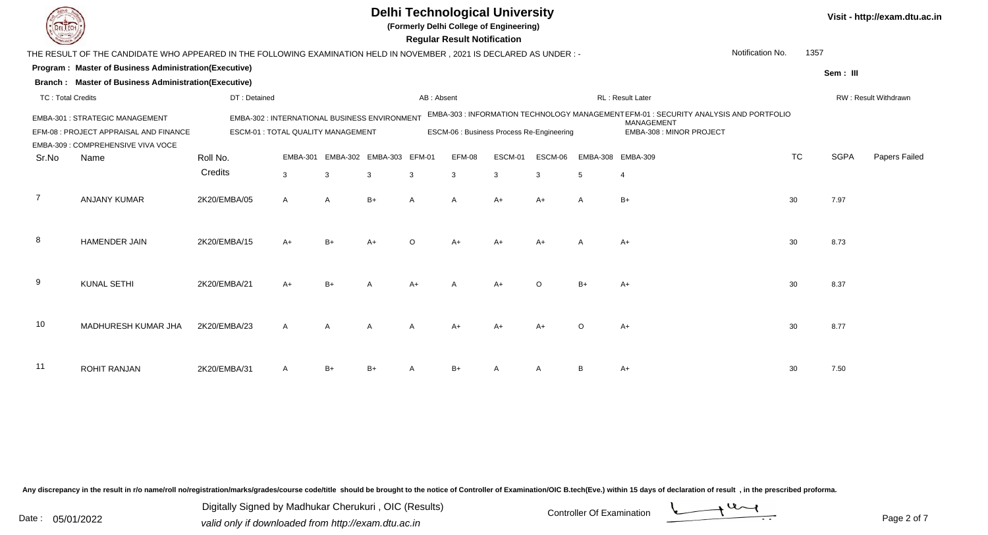|                          |                                                                                                                     |                                                                                           |              |                            |      | <b>Regular Result Notification</b> |        | <b>Delhi Technological University</b><br>(Formerly Delhi College of Engineering) |         |                 |                                                                                                                                        |                  |             | Visit - http://exam.dtu.ac.in |
|--------------------------|---------------------------------------------------------------------------------------------------------------------|-------------------------------------------------------------------------------------------|--------------|----------------------------|------|------------------------------------|--------|----------------------------------------------------------------------------------|---------|-----------------|----------------------------------------------------------------------------------------------------------------------------------------|------------------|-------------|-------------------------------|
|                          | THE RESULT OF THE CANDIDATE WHO APPEARED IN THE FOLLOWING EXAMINATION HELD IN NOVEMBER, 2021 IS DECLARED AS UNDER:- |                                                                                           |              |                            |      |                                    |        |                                                                                  |         |                 |                                                                                                                                        | Notification No. | 1357        |                               |
|                          | Program: Master of Business Administration(Executive)                                                               |                                                                                           |              |                            |      |                                    |        |                                                                                  |         |                 |                                                                                                                                        |                  | Sem: III    |                               |
|                          | Branch: Master of Business Administration(Executive)                                                                |                                                                                           |              |                            |      |                                    |        |                                                                                  |         |                 |                                                                                                                                        |                  |             |                               |
| <b>TC: Total Credits</b> |                                                                                                                     | DT: Detained                                                                              |              |                            |      | AB: Absent                         |        |                                                                                  |         |                 | RL: Result Later                                                                                                                       |                  |             | RW: Result Withdrawn          |
|                          | EMBA-301 : STRATEGIC MANAGEMENT<br>EFM-08 : PROJECT APPRAISAL AND FINANCE<br>EMBA-309 : COMPREHENSIVE VIVA VOCE     | <b>EMBA-302: INTERNATIONAL BUSINESS ENVIRONMENT</b><br>ESCM-01 : TOTAL QUALITY MANAGEMENT |              |                            |      |                                    |        | ESCM-06 : Business Process Re-Engineering                                        |         |                 | EMBA-303 : INFORMATION TECHNOLOGY MANAGEMENT EFM-01 : SECURITY ANALYSIS AND PORTFOLIO<br><b>MANAGEMENT</b><br>EMBA-308 : MINOR PROJECT |                  |             |                               |
| Sr.No                    | Name                                                                                                                | Roll No.                                                                                  |              | EMBA-301 EMBA-302 EMBA-303 |      | EFM-01                             | EFM-08 | ESCM-01                                                                          | ESCM-06 | <b>EMBA-308</b> | <b>EMBA-309</b>                                                                                                                        | <b>TC</b>        | <b>SGPA</b> | Papers Failed                 |
|                          |                                                                                                                     | Credits                                                                                   | $\mathbf{3}$ | 3                          | 3    | 3                                  | 3      | $\mathbf{3}$                                                                     | 3       | 5               | $\overline{4}$                                                                                                                         |                  |             |                               |
| 7                        | <b>ANJANY KUMAR</b>                                                                                                 | 2K20/EMBA/05                                                                              | A            | $\overline{A}$             | $B+$ | A                                  | A      | $A+$                                                                             | $A+$    | A               | $B+$                                                                                                                                   | 30               | 7.97        |                               |
| 8                        | <b>HAMENDER JAIN</b>                                                                                                | 2K20/EMBA/15                                                                              | A+           | $B+$                       | $A+$ | $\Omega$                           | A+     | $A+$                                                                             | $A+$    |                 | $A+$                                                                                                                                   | 30               | 8.73        |                               |
| 9                        | <b>KUNAL SETHI</b>                                                                                                  | 2K20/EMBA/21                                                                              | A+           | $B+$                       |      |                                    |        | $A+$                                                                             | $\circ$ | $B+$            | $A+$                                                                                                                                   | 30               | 8.37        |                               |
| 10                       | MADHURESH KUMAR JHA                                                                                                 | 2K20/EMBA/23                                                                              |              | $\overline{A}$             |      |                                    |        | A+                                                                               |         |                 | $A+$                                                                                                                                   | 30               | 8.77        |                               |
| -11                      | <b>ROHIT RANJAN</b>                                                                                                 | 2K20/EMBA/31                                                                              |              | $B+$                       |      |                                    | $B+$   |                                                                                  |         |                 | $A+$                                                                                                                                   | 30               | 7.50        |                               |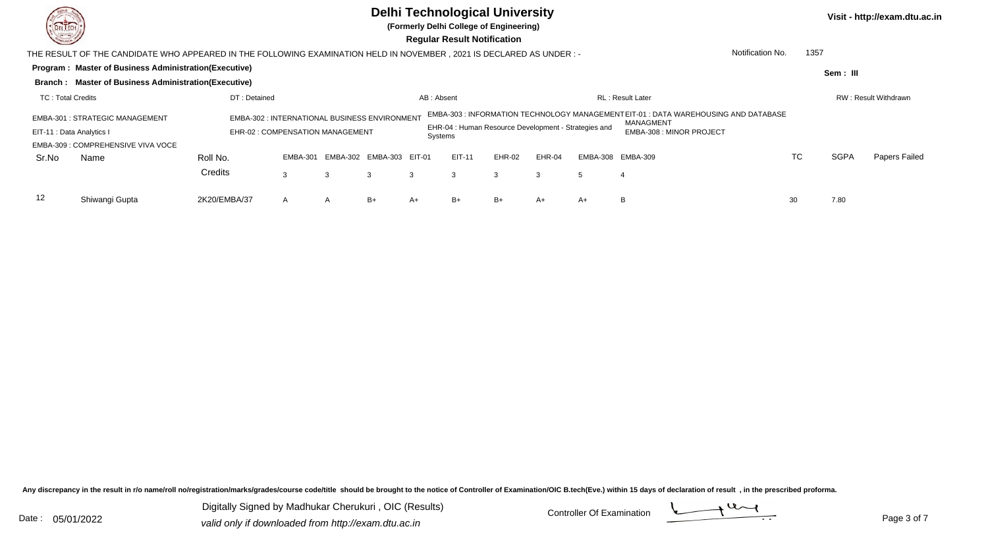## **Delhi Technological University**

**(Formerly Delhi College of Engineering)**

 **Regular Result Notification**

**Program : Master of Business Administration(Executive) Sem : III Branch : Master of Business Administration(Executive)** THE RESULT OF THE CANDIDATE WHO APPEARED IN THE FOLLOWING EXAMINATION HELD IN NOVEMBER , 2021 IS DECLARED AS UNDER : -TC : Total Credits DT : Detainedd AB : Absent RL : Result Later RW : Result Withdrawn Notification No. 1357Sr.NoName Roll No. **Credits** EMBA-301 : STRATEGIC MANAGEMENT EMBA-302 : INTERNATIONAL BUSINESS ENVIRONMENT EMBA-303 : INFORMATION TECHNOLOGY MANAGEMENTEIT-01 : DATA WAREHOUSING AND DATABASE MANAGMENTEMBA-308 : MINOR PROJECT<br>s EIT-11 : Data Analytics I EHR-02 : COMPENSATION MANAGEMENT EHR-04 : Human Resource Development - Strategies and SystemsEMBA-309 : COMPREHENSIVE VIVA VOCEEMBA-301 EMBA-302 EMBA-303 EIT-01 EIT-11 EHR-02 EHR-04 EMBA-308 EMBA-309 TCTC SGPA Papers Failed 3 <sup>3</sup> <sup>3</sup> <sup>3</sup> <sup>3</sup> <sup>3</sup> <sup>3</sup> <sup>5</sup> <sup>4</sup> 12 Shiwangi Guptaa 2K20/EMBA/37 A A B+ A+ B+ B+ A+ A+ A+ A+ B 30 7.80

Any discrepancy in the result in r/o name/roll no/registration/marks/grades/course code/title should be brought to the notice of Controller of Examination/OIC B.tech(Eve.) within 15 days of declaration of result , in the p

Date : 05/01/2022 valid only if downloaded from http://exam.dtu.ac.in<br>
Date : 05/01/2022 valid only if downloaded from http://exam.dtu.ac.in Digitally Signed by Madhukar Cherukuri , OIC (Results)



**Visit - http://exam.dtu.ac.in**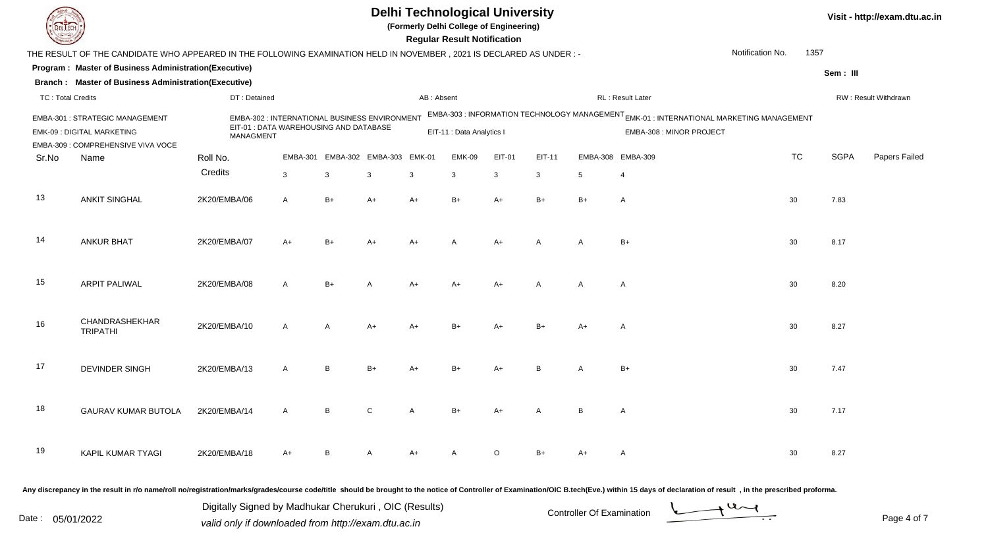|                          |                                                                                                                       |                  |                                                                                         |              |                   |               | <b>Delhi Technological University</b><br>(Formerly Delhi College of Engineering)<br><b>Regular Result Notification</b> |              |        |          |                                                                                                                                 |                  |      |             | Visit - http://exam.dtu.ac.in |
|--------------------------|-----------------------------------------------------------------------------------------------------------------------|------------------|-----------------------------------------------------------------------------------------|--------------|-------------------|---------------|------------------------------------------------------------------------------------------------------------------------|--------------|--------|----------|---------------------------------------------------------------------------------------------------------------------------------|------------------|------|-------------|-------------------------------|
|                          | THE RESULT OF THE CANDIDATE WHO APPEARED IN THE FOLLOWING EXAMINATION HELD IN NOVEMBER , 2021 IS DECLARED AS UNDER :- |                  |                                                                                         |              |                   |               |                                                                                                                        |              |        |          |                                                                                                                                 | Notification No. | 1357 |             |                               |
|                          | Program: Master of Business Administration(Executive)                                                                 |                  |                                                                                         |              |                   |               |                                                                                                                        |              |        |          |                                                                                                                                 |                  |      | Sem: III    |                               |
|                          | <b>Branch: Master of Business Administration(Executive)</b>                                                           |                  |                                                                                         |              |                   |               |                                                                                                                        |              |        |          |                                                                                                                                 |                  |      |             |                               |
| <b>TC: Total Credits</b> |                                                                                                                       | DT: Detained     |                                                                                         |              |                   | AB: Absent    |                                                                                                                        |              |        |          | RL: Result Later                                                                                                                |                  |      |             | RW: Result Withdrawn          |
|                          | EMBA-301 : STRATEGIC MANAGEMENT<br>EMK-09 : DIGITAL MARKETING<br>EMBA-309 : COMPREHENSIVE VIVA VOCE                   | <b>MANAGMENT</b> | EMBA-302 : INTERNATIONAL BUSINESS ENVIRONMENT<br>EIT-01 : DATA WAREHOUSING AND DATABASE |              |                   |               | EIT-11 : Data Analytics I                                                                                              |              |        |          | EMBA-303 : INFORMATION TECHNOLOGY MANAGEMENT <sub>EMK-01</sub> : INTERNATIONAL MARKETING MANAGEMENT<br>EMBA-308 : MINOR PROJECT |                  |      |             |                               |
| Sr.No                    | Name                                                                                                                  | Roll No.         | <b>EMBA-301</b>                                                                         |              | EMBA-302 EMBA-303 | <b>EMK-01</b> | <b>EMK-09</b>                                                                                                          | EIT-01       | EIT-11 | EMBA-308 | <b>EMBA-309</b>                                                                                                                 | <b>TC</b>        |      | <b>SGPA</b> | Papers Failed                 |
|                          |                                                                                                                       | Credits          | $\mathbf{3}$                                                                            | 3            | 3                 | 3             | 3                                                                                                                      | $\mathbf{3}$ | 3      | 5        | 4                                                                                                                               |                  |      |             |                               |
| 13                       | <b>ANKIT SINGHAL</b>                                                                                                  | 2K20/EMBA/06     | A                                                                                       | $B+$         | $A+$              | $A+$          | $B+$                                                                                                                   | $A+$         | $B+$   | $B+$     | A                                                                                                                               | 30               |      | 7.83        |                               |
| 14                       | <b>ANKUR BHAT</b>                                                                                                     | 2K20/EMBA/07     | $A+$                                                                                    | $B+$         | $A+$              | $A+$          |                                                                                                                        | A+           | A      | A        | $B+$                                                                                                                            | 30               |      | 8.17        |                               |
| 15                       | <b>ARPIT PALIWAL</b>                                                                                                  | 2K20/EMBA/08     | $\mathsf{A}$                                                                            | $B+$         |                   | $A+$          | A+                                                                                                                     | A+           | A      | A        | A                                                                                                                               | 30               |      | 8.20        |                               |
| 16                       | CHANDRASHEKHAR<br><b>TRIPATHI</b>                                                                                     | 2K20/EMBA/10     | A                                                                                       | $\mathsf{A}$ | $A+$              | $A+$          | $B+$                                                                                                                   | A+           |        | A+       | A                                                                                                                               | 30               |      | 8.27        |                               |
| 17                       | <b>DEVINDER SINGH</b>                                                                                                 | 2K20/EMBA/13     | A                                                                                       | B            | $B+$              |               | $B+$                                                                                                                   | A+           | B      | A        | $B+$                                                                                                                            | 30               |      | 7.47        |                               |
| 18                       | <b>GAURAV KUMAR BUTOLA</b>                                                                                            | 2K20/EMBA/14     |                                                                                         | B            |                   |               |                                                                                                                        |              |        | B        | A                                                                                                                               | 30               |      | 7.17        |                               |
| 19                       | KAPIL KUMAR TYAGI                                                                                                     | 2K20/EMBA/18     | A+                                                                                      | B            |                   |               |                                                                                                                        | O            |        |          | A                                                                                                                               | 30               |      | 8.27        |                               |
|                          |                                                                                                                       |                  |                                                                                         |              |                   |               |                                                                                                                        |              |        |          |                                                                                                                                 |                  |      |             |                               |

Page 4 of 7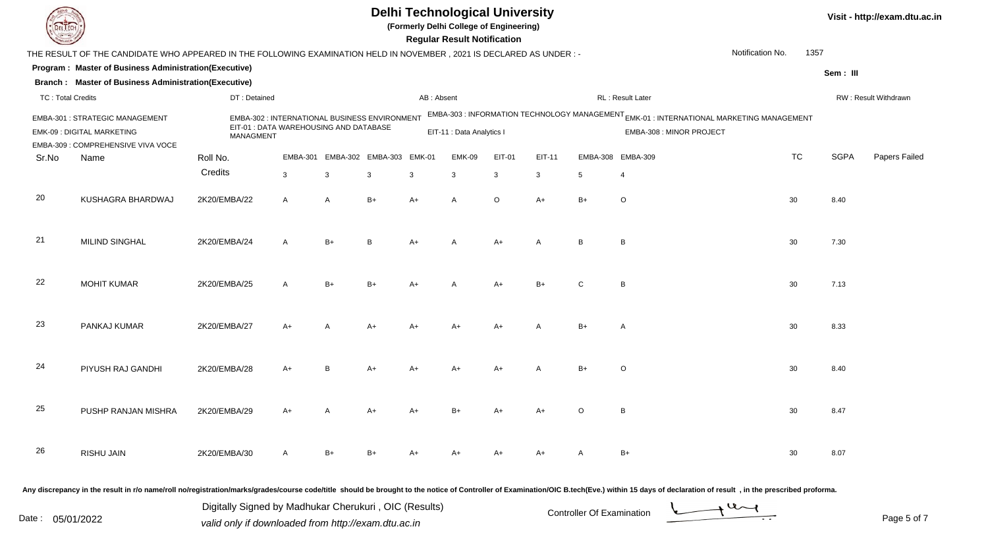| DEL EC                                                                                                                                                                                                                                                                                                                       |                                                                                                                       |              |                                                                                         |      |                          |            | <b>Delhi Technological University</b><br>(Formerly Delhi College of Engineering)<br><b>Regular Result Notification</b> |               |        |                 |                                                                                                                      |                  |      |             | Visit - http://exam.dtu.ac.in |
|------------------------------------------------------------------------------------------------------------------------------------------------------------------------------------------------------------------------------------------------------------------------------------------------------------------------------|-----------------------------------------------------------------------------------------------------------------------|--------------|-----------------------------------------------------------------------------------------|------|--------------------------|------------|------------------------------------------------------------------------------------------------------------------------|---------------|--------|-----------------|----------------------------------------------------------------------------------------------------------------------|------------------|------|-------------|-------------------------------|
|                                                                                                                                                                                                                                                                                                                              | THE RESULT OF THE CANDIDATE WHO APPEARED IN THE FOLLOWING EXAMINATION HELD IN NOVEMBER, 2021 IS DECLARED AS UNDER : - |              |                                                                                         |      |                          |            |                                                                                                                        |               |        |                 |                                                                                                                      | Notification No. | 1357 |             |                               |
|                                                                                                                                                                                                                                                                                                                              | Program: Master of Business Administration(Executive)                                                                 |              |                                                                                         |      |                          |            |                                                                                                                        |               |        |                 |                                                                                                                      |                  |      | Sem: III    |                               |
|                                                                                                                                                                                                                                                                                                                              | <b>Branch: Master of Business Administration(Executive)</b>                                                           |              |                                                                                         |      |                          |            |                                                                                                                        |               |        |                 |                                                                                                                      |                  |      |             |                               |
| <b>TC: Total Credits</b>                                                                                                                                                                                                                                                                                                     |                                                                                                                       | DT: Detained |                                                                                         |      |                          | AB: Absent |                                                                                                                        |               |        |                 | RL: Result Later                                                                                                     |                  |      |             | RW: Result Withdrawn          |
|                                                                                                                                                                                                                                                                                                                              | <b>EMBA-301: STRATEGIC MANAGEMENT</b><br>EMK-09 : DIGITAL MARKETING<br>EMBA-309 : COMPREHENSIVE VIVA VOCE             | MANAGMENT    | EMBA-302 : INTERNATIONAL BUSINESS ENVIRONMENT<br>EIT-01 : DATA WAREHOUSING AND DATABASE |      |                          |            | EIT-11 : Data Analytics I                                                                                              |               |        |                 | EMBA-303 : INFORMATION TECHNOLOGY MANAGEMENT EMK-01 : INTERNATIONAL MARKETING MANAGEMENT<br>EMBA-308 : MINOR PROJECT |                  |      |             |                               |
| Sr.No                                                                                                                                                                                                                                                                                                                        | Name                                                                                                                  | Roll No.     | <b>EMBA-301</b>                                                                         |      | EMBA-302 EMBA-303 EMK-01 |            | <b>EMK-09</b>                                                                                                          | <b>EIT-01</b> | EIT-11 | EMBA-308        | <b>EMBA-309</b>                                                                                                      | <b>TC</b>        |      | <b>SGPA</b> | Papers Failed                 |
|                                                                                                                                                                                                                                                                                                                              |                                                                                                                       | Credits      | $\mathbf{3}$                                                                            | 3    | 3                        | 3          | 3                                                                                                                      | 3             | 3      | $5\overline{)}$ | $\overline{4}$                                                                                                       |                  |      |             |                               |
| 20                                                                                                                                                                                                                                                                                                                           | KUSHAGRA BHARDWAJ                                                                                                     | 2K20/EMBA/22 | A                                                                                       | A    | $B+$                     | $A+$       | A                                                                                                                      | $\circ$       | $A+$   | $B+$            | $\circ$                                                                                                              | 30               |      | 8.40        |                               |
| 21                                                                                                                                                                                                                                                                                                                           | <b>MILIND SINGHAL</b>                                                                                                 | 2K20/EMBA/24 | $\mathsf{A}$                                                                            | $B+$ | B                        | A+         |                                                                                                                        | $A+$          | A      | B               | B                                                                                                                    | 30               |      | 7.30        |                               |
| 22                                                                                                                                                                                                                                                                                                                           | <b>MOHIT KUMAR</b>                                                                                                    | 2K20/EMBA/25 | $\overline{A}$                                                                          | $B+$ | $B+$                     |            |                                                                                                                        | $A+$          | $B+$   | C               | B                                                                                                                    | 30               |      | 7.13        |                               |
| 23                                                                                                                                                                                                                                                                                                                           | PANKAJ KUMAR                                                                                                          | 2K20/EMBA/27 | A+                                                                                      | A    | A+                       |            |                                                                                                                        | $A+$          |        | $B+$            | $\mathsf{A}$                                                                                                         | 30               |      | 8.33        |                               |
| 24                                                                                                                                                                                                                                                                                                                           | PIYUSH RAJ GANDHI                                                                                                     | 2K20/EMBA/28 | A+                                                                                      | B    | A+                       |            |                                                                                                                        | A+            |        | $B+$            | $\circ$                                                                                                              | 30               |      | 8.40        |                               |
| 25                                                                                                                                                                                                                                                                                                                           | PUSHP RANJAN MISHRA                                                                                                   | 2K20/EMBA/29 | A+                                                                                      | A    | A+                       |            |                                                                                                                        | A+            |        | $\circ$         | B                                                                                                                    | 30               |      | 8.47        |                               |
| 26                                                                                                                                                                                                                                                                                                                           | RISHU JAIN                                                                                                            | 2K20/EMBA/30 | A                                                                                       | $B+$ | $B+$                     |            |                                                                                                                        | A+            | A+     | A               | $B+$                                                                                                                 | 30               |      | 8.07        |                               |
| Any discrepancy in the result in r/o name/roll no/registration/marks/grades/course code/title should be brought to the notice of Controller of Examination/OIC B.tech(Eve.) within 15 days of declaration of result, in the pr<br>Digitally Signed by Madhukar Cherukuri, OIC (Results)<br>$+u$<br>Controller Of Evamination |                                                                                                                       |              |                                                                                         |      |                          |            |                                                                                                                        |               |        |                 |                                                                                                                      |                  |      |             |                               |

Date : 05/01/2022 valid only if downloaded from http://exam.dtu.ac.in<br>
Date : 05/01/2022 valid only if downloaded from http://exam.dtu.ac.in

Page 5 of 7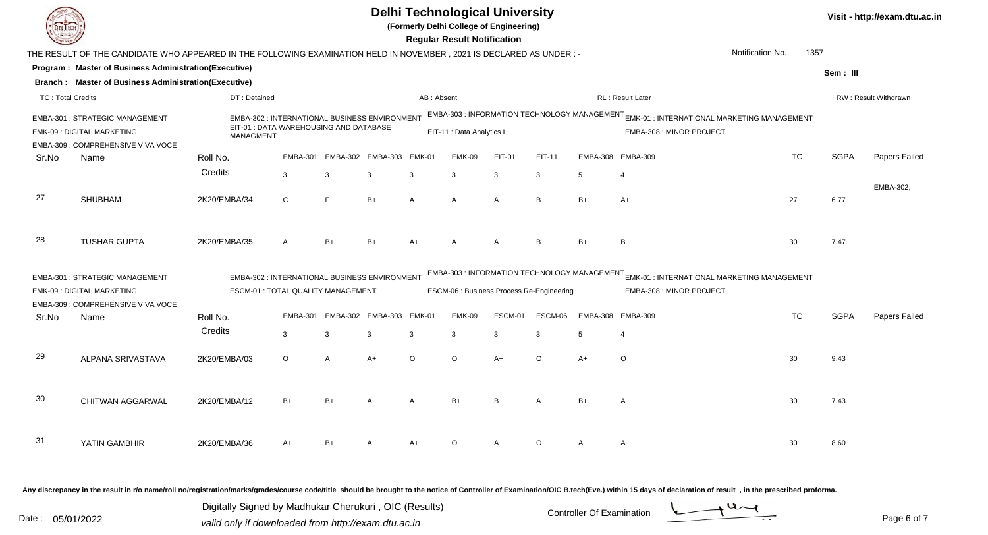|                          |                                                                                                                      |                                                                                                             |                 |                |                   |               | <b>Regular Result Notification</b> | <b>Delhi Technological University</b><br>(Formerly Delhi College of Engineering) |                          |                 |                                                                                                                                 |                  |      |             | Visit - http://exam.dtu.ac.in |
|--------------------------|----------------------------------------------------------------------------------------------------------------------|-------------------------------------------------------------------------------------------------------------|-----------------|----------------|-------------------|---------------|------------------------------------|----------------------------------------------------------------------------------|--------------------------|-----------------|---------------------------------------------------------------------------------------------------------------------------------|------------------|------|-------------|-------------------------------|
|                          | THE RESULT OF THE CANDIDATE WHO APPEARED IN THE FOLLOWING EXAMINATION HELD IN NOVEMBER, 2021 IS DECLARED AS UNDER :- |                                                                                                             |                 |                |                   |               |                                    |                                                                                  |                          |                 |                                                                                                                                 | Notification No. | 1357 |             |                               |
|                          | Program: Master of Business Administration(Executive)                                                                |                                                                                                             |                 |                |                   |               |                                    |                                                                                  |                          |                 |                                                                                                                                 |                  |      | Sem: III    |                               |
|                          | <b>Branch: Master of Business Administration(Executive)</b>                                                          |                                                                                                             |                 |                |                   |               |                                    |                                                                                  |                          |                 |                                                                                                                                 |                  |      |             |                               |
| <b>TC: Total Credits</b> |                                                                                                                      | DT: Detained                                                                                                |                 |                |                   | AB: Absent    |                                    |                                                                                  |                          |                 | RL : Result Later                                                                                                               |                  |      |             | RW: Result Withdrawn          |
|                          | EMBA-301 : STRATEGIC MANAGEMENT<br><b>EMK-09: DIGITAL MARKETING</b><br>EMBA-309 : COMPREHENSIVE VIVA VOCE            | EMBA-302 : INTERNATIONAL BUSINESS ENVIRONMENT<br>EIT-01 : DATA WAREHOUSING AND DATABASE<br><b>MANAGMENT</b> |                 |                |                   |               | EIT-11 : Data Analytics I          |                                                                                  |                          |                 | EMBA-303 : INFORMATION TECHNOLOGY MANAGEMENT <sub>EMK-01</sub> : INTERNATIONAL MARKETING MANAGEMENT<br>EMBA-308 : MINOR PROJECT |                  |      |             |                               |
| Sr.No                    | Name                                                                                                                 | Roll No.                                                                                                    | <b>EMBA-301</b> |                | EMBA-302 EMBA-303 | $EMK-01$      | <b>EMK-09</b>                      | EIT-01                                                                           | EIT-11                   |                 | EMBA-308 EMBA-309                                                                                                               | <b>TC</b>        |      | <b>SGPA</b> | Papers Failed                 |
|                          |                                                                                                                      | Credits                                                                                                     | 3               | 3              | 3                 | 3             | 3                                  | 3                                                                                | 3                        | 5               | $\overline{4}$                                                                                                                  |                  |      |             |                               |
|                          |                                                                                                                      |                                                                                                             |                 |                |                   |               |                                    |                                                                                  |                          |                 |                                                                                                                                 |                  |      |             | EMBA-302,                     |
| 27                       | <b>SHUBHAM</b>                                                                                                       | 2K20/EMBA/34                                                                                                | $\mathsf{C}$    | F              | $B+$              | $\mathsf{A}$  | A                                  | $A+$                                                                             | $B+$                     | $B+$            | $A+$                                                                                                                            | 27               |      | 6.77        |                               |
|                          |                                                                                                                      |                                                                                                             |                 |                |                   |               |                                    |                                                                                  |                          |                 |                                                                                                                                 |                  |      |             |                               |
| 28                       | <b>TUSHAR GUPTA</b>                                                                                                  | 2K20/EMBA/35                                                                                                | А               | $B+$           | $B+$              |               |                                    |                                                                                  | B <sub>1</sub>           | $B+$            | B <sub>1</sub>                                                                                                                  | 30               |      | 7.47        |                               |
|                          | <b>EMBA-301: STRATEGIC MANAGEMENT</b>                                                                                | EMBA-302 : INTERNATIONAL BUSINESS ENVIRONMENT                                                               |                 |                |                   |               |                                    |                                                                                  |                          |                 | EMBA-303 : INFORMATION TECHNOLOGY MANAGEMENT EMK-01 : INTERNATIONAL MARKETING MANAGEMENT                                        |                  |      |             |                               |
|                          | <b>EMK-09 : DIGITAL MARKETING</b>                                                                                    | ESCM-01 : TOTAL QUALITY MANAGEMENT                                                                          |                 |                |                   |               |                                    | ESCM-06 : Business Process Re-Engineering                                        | EMBA-308 : MINOR PROJECT |                 |                                                                                                                                 |                  |      |             |                               |
|                          | EMBA-309 : COMPREHENSIVE VIVA VOCE                                                                                   |                                                                                                             |                 |                |                   |               |                                    |                                                                                  |                          |                 |                                                                                                                                 |                  |      |             |                               |
| Sr.No                    | Name                                                                                                                 | Roll No.                                                                                                    | <b>EMBA-301</b> | EMBA-302       | <b>EMBA-303</b>   | <b>EMK-01</b> | <b>EMK-09</b>                      | ESCM-01                                                                          | ESCM-06                  | <b>EMBA-308</b> | <b>EMBA-309</b>                                                                                                                 | <b>TC</b>        |      | <b>SGPA</b> | Papers Failed                 |
|                          |                                                                                                                      | Credits                                                                                                     | $\mathbf{3}$    | 3              | 3                 | 3             | $\mathbf{3}$                       | $\mathbf{3}$                                                                     | 3                        | 5               | $\overline{4}$                                                                                                                  |                  |      |             |                               |
|                          |                                                                                                                      |                                                                                                             |                 |                |                   |               |                                    |                                                                                  |                          |                 |                                                                                                                                 |                  |      |             |                               |
| 29                       | ALPANA SRIVASTAVA                                                                                                    | 2K20/EMBA/03                                                                                                | $\circ$         | $\overline{A}$ | $A+$              | $\circ$       | $\circ$                            | $A+$                                                                             | $\circ$                  | $A+$            | $\circ$                                                                                                                         | 30               |      | 9.43        |                               |
|                          |                                                                                                                      |                                                                                                             |                 |                |                   |               |                                    |                                                                                  |                          |                 |                                                                                                                                 |                  |      |             |                               |
| 30                       | <b>CHITWAN AGGARWAL</b>                                                                                              | 2K20/EMBA/12                                                                                                | $B+$            | $B+$           |                   |               | $B+$                               | $B+$                                                                             |                          | $B+$            | A                                                                                                                               | 30               |      | 7.43        |                               |
|                          |                                                                                                                      |                                                                                                             |                 |                |                   |               |                                    |                                                                                  |                          |                 |                                                                                                                                 |                  |      |             |                               |
|                          |                                                                                                                      |                                                                                                             |                 |                |                   |               |                                    |                                                                                  |                          |                 |                                                                                                                                 |                  |      |             |                               |
| 31                       | YATIN GAMBHIR                                                                                                        | 2K20/EMBA/36                                                                                                | A+              | $B+$           |                   |               | $\Omega$                           | $A+$                                                                             | $\Omega$                 |                 | A                                                                                                                               | 30               |      | 8.60        |                               |
|                          |                                                                                                                      |                                                                                                             |                 |                |                   |               |                                    |                                                                                  |                          |                 |                                                                                                                                 |                  |      |             |                               |